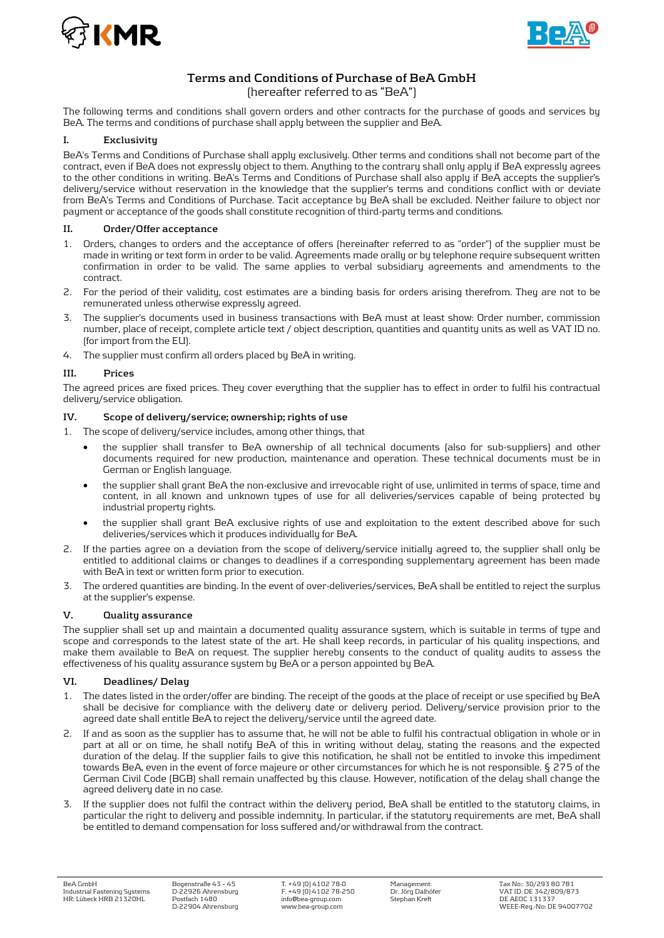



# **Terms and Conditions of Purchase of BeA GmbH**

# (hereafter referred to as "BeA")

The following terms and conditions shall govern orders and other contracts for the purchase of goods and services by BeA. The terms and conditions of purchase shall apply between the supplier and BeA.

# **I. Exclusivity**

BeA's Terms and Conditions of Purchase shall apply exclusively. Other terms and conditions shall not become part of the contract, even if BeA does not expressly object to them. Anything to the contrary shall only apply if BeA expressly agrees to the other conditions in writing. BeA's Terms and Conditions of Purchase shall also apply if BeA accepts the supplier's delivery/service without reservation in the knowledge that the supplier's terms and conditions conflict with or deviate from BeA's Terms and Conditions of Purchase. Tacit acceptance by BeA shall be excluded. Neither failure to object nor payment or acceptance of the goods shall constitute recognition of third-party terms and conditions.

# **II. Order/Offer acceptance**

- 1. Orders, changes to orders and the acceptance of offers (hereinafter referred to as "order") of the supplier must be made in writing or text form in order to be valid. Agreements made orally or by telephone require subsequent written confirmation in order to be valid. The same applies to verbal subsidiary agreements and amendments to the contract.
- 2. For the period of their validity, cost estimates are a binding basis for orders arising therefrom. They are not to be remunerated unless otherwise expressly agreed.
- 3. The supplier's documents used in business transactions with BeA must at least show: Order number, commission number, place of receipt, complete article text / object description, quantities and quantity units as well as VAT ID no. (for import from the EU).
- 4. The supplier must confirm all orders placed by BeA in writing.

# **III. Prices**

The agreed prices are fixed prices. They cover everything that the supplier has to effect in order to fulfil his contractual delivery/service obligation.

# **IV. Scope of delivery/service; ownership; rights of use**

1. The scope of delivery/service includes, among other things, that

- the supplier shall transfer to BeA ownership of all technical documents (also for sub-suppliers) and other documents required for new production, maintenance and operation. These technical documents must be in German or English language.
- the supplier shall grant BeA the non-exclusive and irrevocable right of use, unlimited in terms of space, time and content, in all known and unknown types of use for all deliveries/services capable of being protected by industrial property rights.
- the supplier shall grant BeA exclusive rights of use and exploitation to the extent described above for such deliveries/services which it produces individually for BeA.
- 2. If the parties agree on a deviation from the scope of delivery/service initially agreed to, the supplier shall only be entitled to additional claims or changes to deadlines if a corresponding supplementary agreement has been made with BeA in text or written form prior to execution.
- 3. The ordered quantities are binding. In the event of over-deliveries/services, BeA shall be entitled to reject the surplus at the supplier's expense.

#### **V. Quality assurance**

The supplier shall set up and maintain a documented quality assurance system, which is suitable in terms of type and scope and corresponds to the latest state of the art. He shall keep records, in particular of his quality inspections, and make them available to BeA on request. The supplier hereby consents to the conduct of quality audits to assess the effectiveness of his quality assurance system by BeA or a person appointed by BeA.

#### **VI. Deadlines/ Delay**

- 1. The dates listed in the order/offer are binding. The receipt of the goods at the place of receipt or use specified by BeA shall be decisive for compliance with the delivery date or delivery period. Delivery/service provision prior to the agreed date shall entitle BeA to reject the delivery/service until the agreed date.
- 2. If and as soon as the supplier has to assume that, he will not be able to fulfil his contractual obligation in whole or in part at all or on time, he shall notify BeA of this in writing without delay, stating the reasons and the expected duration of the delay. If the supplier fails to give this notification, he shall not be entitled to invoke this impediment towards BeA, even in the event of force majeure or other circumstances for which he is not responsible. § 275 of the German Civil Code (BGB) shall remain unaffected by this clause. However, notification of the delay shall change the agreed delivery date in no case.
- 3. If the supplier does not fulfil the contract within the delivery period, BeA shall be entitled to the statutory claims, in particular the right to delivery and possible indemnity. In particular, if the statutory requirements are met, BeA shall be entitled to demand compensation for loss suffered and/or withdrawal from the contract.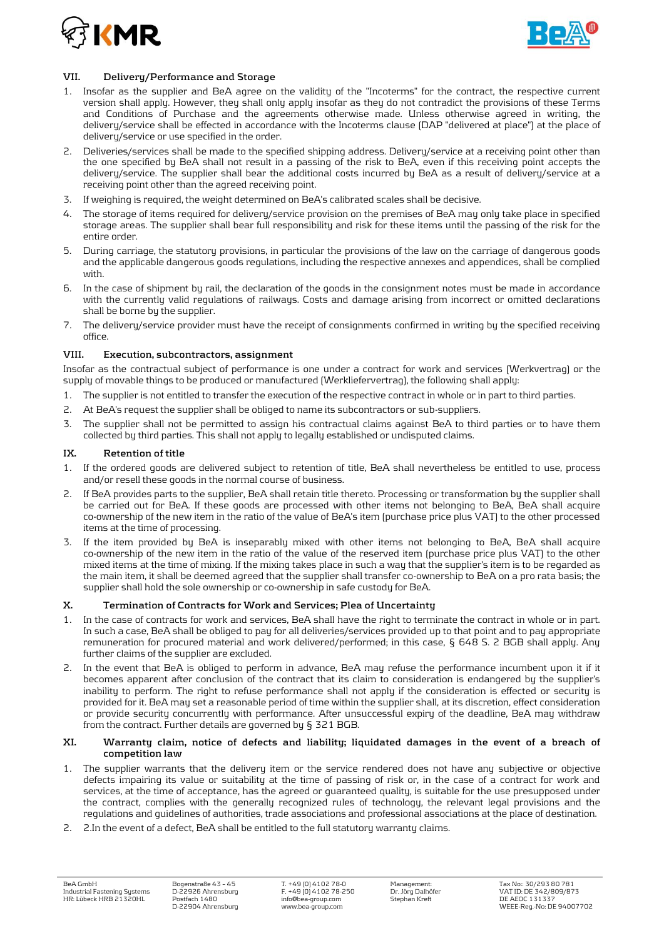



# **VII. Delivery/Performance and Storage**

- 1. Insofar as the supplier and BeA agree on the validity of the "Incoterms" for the contract, the respective current version shall apply. However, they shall only apply insofar as they do not contradict the provisions of these Terms and Conditions of Purchase and the agreements otherwise made. Unless otherwise agreed in writing, the delivery/service shall be effected in accordance with the Incoterms clause (DAP "delivered at place") at the place of delivery/service or use specified in the order.
- 2. Deliveries/services shall be made to the specified shipping address. Delivery/service at a receiving point other than the one specified by BeA shall not result in a passing of the risk to BeA, even if this receiving point accepts the delivery/service. The supplier shall bear the additional costs incurred by BeA as a result of delivery/service at a receiving point other than the agreed receiving point.
- 3. If weighing is required, the weight determined on BeA's calibrated scales shall be decisive.
- 4. The storage of items required for delivery/service provision on the premises of BeA may only take place in specified storage areas. The supplier shall bear full responsibility and risk for these items until the passing of the risk for the entire order.
- 5. During carriage, the statutory provisions, in particular the provisions of the law on the carriage of dangerous goods and the applicable dangerous goods regulations, including the respective annexes and appendices, shall be complied with.
- 6. In the case of shipment by rail, the declaration of the goods in the consignment notes must be made in accordance with the currently valid regulations of railways. Costs and damage arising from incorrect or omitted declarations shall be borne by the supplier.
- 7. The delivery/service provider must have the receipt of consignments confirmed in writing by the specified receiving office.

# **VIII. Execution, subcontractors, assignment**

Insofar as the contractual subject of performance is one under a contract for work and services (Werkvertrag) or the supply of movable things to be produced or manufactured (Werkliefervertrag), the following shall apply:

- 1. The supplier is not entitled to transfer the execution of the respective contract in whole or in part to third parties.
- 2. At BeA's request the supplier shall be obliged to name its subcontractors or sub-suppliers.
- 3. The supplier shall not be permitted to assign his contractual claims against BeA to third parties or to have them collected by third parties. This shall not apply to legally established or undisputed claims.

# **IX. Retention of title**

- 1. If the ordered goods are delivered subject to retention of title, BeA shall nevertheless be entitled to use, process and/or resell these goods in the normal course of business.
- 2. If BeA provides parts to the supplier, BeA shall retain title thereto. Processing or transformation by the supplier shall be carried out for BeA. If these goods are processed with other items not belonging to BeA, BeA shall acquire co-ownership of the new item in the ratio of the value of BeA's item (purchase price plus VAT) to the other processed items at the time of processing.
- 3. If the item provided by BeA is inseparably mixed with other items not belonging to BeA, BeA shall acquire co-ownership of the new item in the ratio of the value of the reserved item (purchase price plus VAT) to the other mixed items at the time of mixing. If the mixing takes place in such a way that the supplier's item is to be regarded as the main item, it shall be deemed agreed that the supplier shall transfer co-ownership to BeA on a pro rata basis; the supplier shall hold the sole ownership or co-ownership in safe custody for BeA.

#### **X. Termination of Contracts for Work and Services; Plea of Uncertainty**

- 1. In the case of contracts for work and services, BeA shall have the right to terminate the contract in whole or in part. In such a case, BeA shall be obliged to pay for all deliveries/services provided up to that point and to pay appropriate remuneration for procured material and work delivered/performed; in this case, § 648 S. 2 BGB shall apply. Any further claims of the supplier are excluded.
- 2. In the event that BeA is obliged to perform in advance, BeA may refuse the performance incumbent upon it if it becomes apparent after conclusion of the contract that its claim to consideration is endangered by the supplier's inability to perform. The right to refuse performance shall not apply if the consideration is effected or security is provided for it. BeA may set a reasonable period of time within the supplier shall, at its discretion, effect consideration or provide security concurrently with performance. After unsuccessful expiry of the deadline, BeA may withdraw from the contract. Further details are governed by § 321 BGB.

#### **XI. Warranty claim, notice of defects and liability; liquidated damages in the event of a breach of competition law**

- 1. The supplier warrants that the delivery item or the service rendered does not have any subjective or objective defects impairing its value or suitability at the time of passing of risk or, in the case of a contract for work and services, at the time of acceptance, has the agreed or guaranteed quality, is suitable for the use presupposed under the contract, complies with the generally recognized rules of technology, the relevant legal provisions and the regulations and guidelines of authorities, trade associations and professional associations at the place of destination.
- 2. 2.In the event of a defect, BeA shall be entitled to the full statutory warranty claims.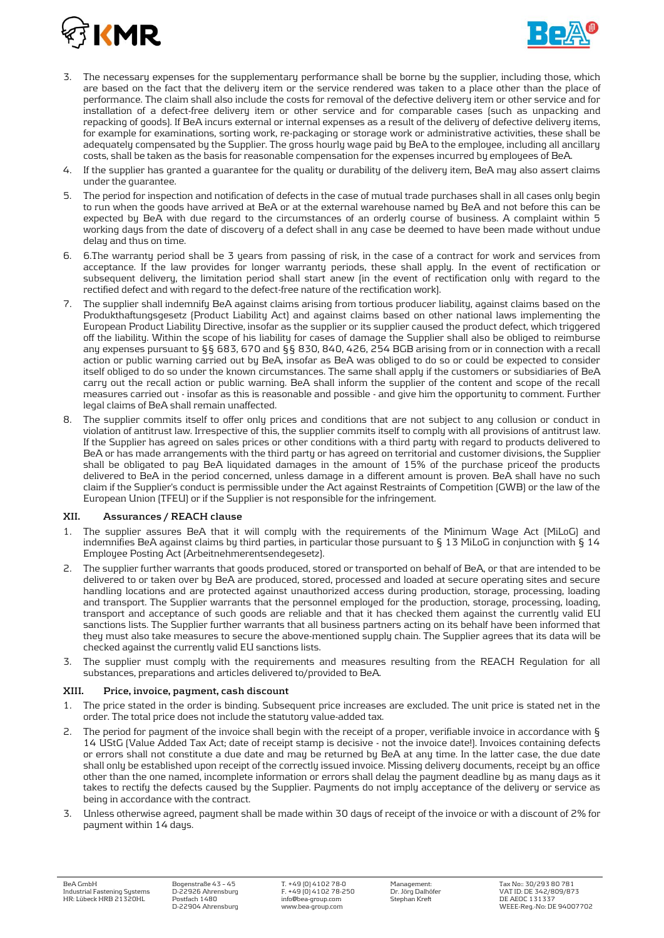



- 3. The necessary expenses for the supplementary performance shall be borne by the supplier, including those, which are based on the fact that the delivery item or the service rendered was taken to a place other than the place of performance. The claim shall also include the costs for removal of the defective delivery item or other service and for installation of a defect-free delivery item or other service and for comparable cases (such as unpacking and repacking of goods). If BeA incurs external or internal expenses as a result of the delivery of defective delivery items, for example for examinations, sorting work, re-packaging or storage work or administrative activities, these shall be adequately compensated by the Supplier. The gross hourly wage paid by BeA to the employee, including all ancillary costs, shall be taken as the basis for reasonable compensation for the expenses incurred by employees of BeA.
- 4. If the supplier has granted a guarantee for the quality or durability of the delivery item, BeA may also assert claims under the guarantee.
- 5. The period for inspection and notification of defects in the case of mutual trade purchases shall in all cases only begin to run when the goods have arrived at BeA or at the external warehouse named by BeA and not before this can be expected by BeA with due regard to the circumstances of an orderly course of business. A complaint within 5 working days from the date of discovery of a defect shall in any case be deemed to have been made without undue delay and thus on time.
- 6. 6.The warranty period shall be 3 years from passing of risk, in the case of a contract for work and services from acceptance. If the law provides for longer warranty periods, these shall apply. In the event of rectification or subsequent delivery, the limitation period shall start anew (in the event of rectification only with regard to the rectified defect and with regard to the defect-free nature of the rectification work).
- 7. The supplier shall indemnify BeA against claims arising from tortious producer liability, against claims based on the Produkthaftungsgesetz (Product Liability Act) and against claims based on other national laws implementing the European Product Liability Directive, insofar as the supplier or its supplier caused the product defect, which triggered off the liability. Within the scope of his liability for cases of damage the Supplier shall also be obliged to reimburse any expenses pursuant to §§ 683, 670 and §§ 830, 840, 426, 254 BGB arising from or in connection with a recall action or public warning carried out by BeA, insofar as BeA was obliged to do so or could be expected to consider itself obliged to do so under the known circumstances. The same shall apply if the customers or subsidiaries of BeA carry out the recall action or public warning. BeA shall inform the supplier of the content and scope of the recall measures carried out - insofar as this is reasonable and possible - and give him the opportunity to comment. Further legal claims of BeA shall remain unaffected.
- 8. The supplier commits itself to offer only prices and conditions that are not subject to any collusion or conduct in violation of antitrust law. Irrespective of this, the supplier commits itself to comply with all provisions of antitrust law. If the Supplier has agreed on sales prices or other conditions with a third party with regard to products delivered to BeA or has made arrangements with the third party or has agreed on territorial and customer divisions, the Supplier shall be obligated to pay BeA liquidated damages in the amount of 15% of the purchase priceof the products delivered to BeA in the period concerned, unless damage in a different amount is proven. BeA shall have no such claim if the Supplier's conduct is permissible under the Act against Restraints of Competition (GWB) or the law of the European Union (TFEU) or if the Supplier is not responsible for the infringement.

#### **XII. Assurances / REACH clause**

- 1. The supplier assures BeA that it will comply with the requirements of the Minimum Wage Act (MiLoG) and indemnifies BeA against claims by third parties, in particular those pursuant to § 13 MiLoG in conjunction with § 14 Employee Posting Act (Arbeitnehmerentsendegesetz).
- 2. The supplier further warrants that goods produced, stored or transported on behalf of BeA, or that are intended to be delivered to or taken over by BeA are produced, stored, processed and loaded at secure operating sites and secure handling locations and are protected against unauthorized access during production, storage, processing, loading and transport. The Supplier warrants that the personnel employed for the production, storage, processing, loading, transport and acceptance of such goods are reliable and that it has checked them against the currently valid EU sanctions lists. The Supplier further warrants that all business partners acting on its behalf have been informed that they must also take measures to secure the above-mentioned supply chain. The Supplier agrees that its data will be checked against the currently valid EU sanctions lists.
- 3. The supplier must comply with the requirements and measures resulting from the REACH Regulation for all substances, preparations and articles delivered to/provided to BeA.

# **XIII. Price, invoice, payment, cash discount**

- 1. The price stated in the order is binding. Subsequent price increases are excluded. The unit price is stated net in the order. The total price does not include the statutory value-added tax.
- 2. The period for payment of the invoice shall begin with the receipt of a proper, verifiable invoice in accordance with § 14 UStG (Value Added Tax Act; date of receipt stamp is decisive - not the invoice date!). Invoices containing defects or errors shall not constitute a due date and may be returned by BeA at any time. In the latter case, the due date shall only be established upon receipt of the correctly issued invoice. Missing delivery documents, receipt by an office other than the one named, incomplete information or errors shall delay the payment deadline by as many days as it takes to rectify the defects caused by the Supplier. Payments do not imply acceptance of the delivery or service as being in accordance with the contract.
- 3. Unless otherwise agreed, payment shall be made within 30 days of receipt of the invoice or with a discount of 2% for payment within 14 days.